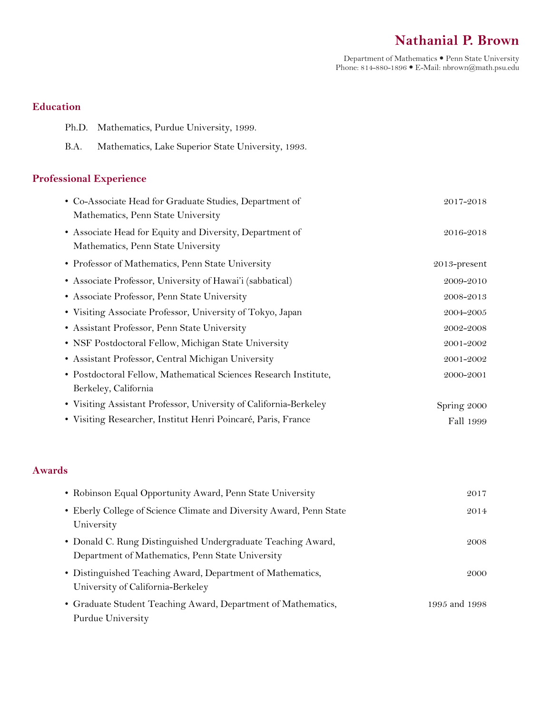# **Nathanial P. Brown**

Department of Mathematics Penn State University Phone: 814-880-1896 E-Mail: nbrown@math.psu.edu

# **Education**

- Ph.D. Mathematics, Purdue University, 1999.
- B.A. Mathematics, Lake Superior State University, 1993.

# **Professional Experience**

| • Co-Associate Head for Graduate Studies, Department of           | 2017-2018       |
|-------------------------------------------------------------------|-----------------|
| Mathematics, Penn State University                                |                 |
| • Associate Head for Equity and Diversity, Department of          | 2016-2018       |
| Mathematics, Penn State University                                |                 |
| • Professor of Mathematics, Penn State University                 | $2013$ -present |
| • Associate Professor, University of Hawai'i (sabbatical)         | 2009-2010       |
| • Associate Professor, Penn State University                      | 2008-2013       |
| • Visiting Associate Professor, University of Tokyo, Japan        | 2004-2005       |
| • Assistant Professor, Penn State University                      | 2002-2008       |
| • NSF Postdoctoral Fellow, Michigan State University              | 2001-2002       |
| • Assistant Professor, Central Michigan University                | 2001-2002       |
| • Postdoctoral Fellow, Mathematical Sciences Research Institute,  | 2000-2001       |
| Berkeley, California                                              |                 |
| • Visiting Assistant Professor, University of California-Berkeley | Spring 2000     |
| • Visiting Researcher, Institut Henri Poincaré, Paris, France     | Fall 1999       |

# **Awards**

| • Robinson Equal Opportunity Award, Penn State University                                                        | 2017          |
|------------------------------------------------------------------------------------------------------------------|---------------|
| • Eberly College of Science Climate and Diversity Award, Penn State<br>University                                | 2014          |
| • Donald C. Rung Distinguished Undergraduate Teaching Award,<br>Department of Mathematics, Penn State University | 2008          |
| • Distinguished Teaching Award, Department of Mathematics,<br>University of California-Berkeley                  | 2000          |
| • Graduate Student Teaching Award, Department of Mathematics,<br>Purdue University                               | 1995 and 1998 |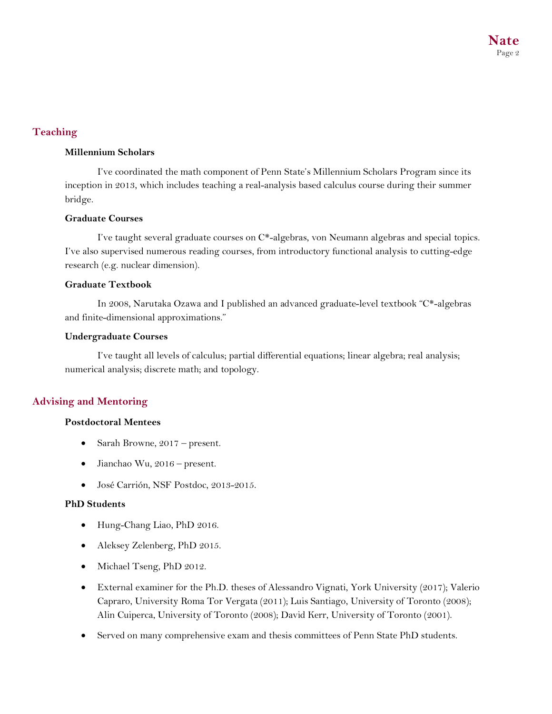# **Teaching**

### **Millennium Scholars**

I've coordinated the math component of Penn State's Millennium Scholars Program since its inception in 2013, which includes teaching a real-analysis based calculus course during their summer bridge.

### **Graduate Courses**

I've taught several graduate courses on C\*-algebras, von Neumann algebras and special topics. I've also supervised numerous reading courses, from introductory functional analysis to cutting-edge research (e.g. nuclear dimension).

### **Graduate Textbook**

In 2008, Narutaka Ozawa and I published an advanced graduate-level textbook "C\*-algebras and finite-dimensional approximations."

### **Undergraduate Courses**

I've taught all levels of calculus; partial differential equations; linear algebra; real analysis; numerical analysis; discrete math; and topology.

# **Advising and Mentoring**

# **Postdoctoral Mentees**

- Sarah Browne, 2017 present.
- Jianchao Wu, 2016 present.
- José Carrión, NSF Postdoc, 2013-2015.

# **PhD Students**

- Hung-Chang Liao, PhD 2016.
- Aleksey Zelenberg, PhD 2015.
- Michael Tseng, PhD 2012.
- External examiner for the Ph.D. theses of Alessandro Vignati, York University (2017); Valerio Capraro, University Roma Tor Vergata (2011); Luis Santiago, University of Toronto (2008); Alin Cuiperca, University of Toronto (2008); David Kerr, University of Toronto (2001).
- Served on many comprehensive exam and thesis committees of Penn State PhD students.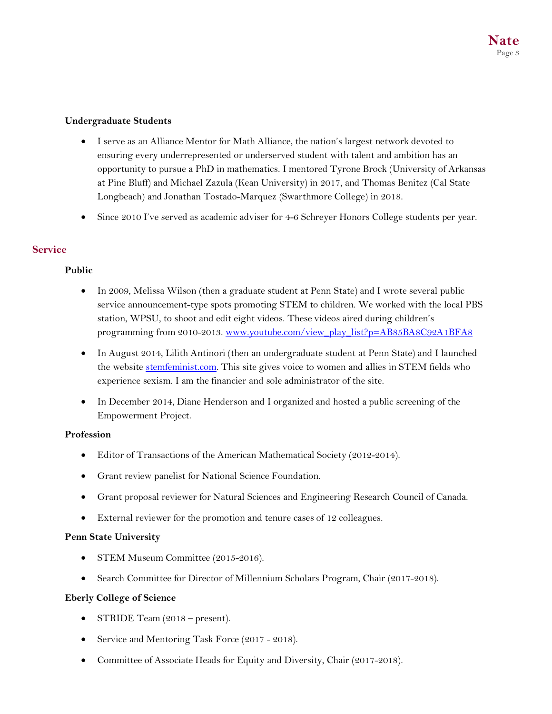# **Undergraduate Students**

- I serve as an Alliance Mentor for Math Alliance, the nation's largest network devoted to ensuring every underrepresented or underserved student with talent and ambition has an opportunity to pursue a PhD in mathematics. I mentored Tyrone Brock (University of Arkansas at Pine Bluff) and Michael Zazula (Kean University) in 2017, and Thomas Benitez (Cal State Longbeach) and Jonathan Tostado-Marquez (Swarthmore College) in 2018.
- Since 2010 I've served as academic adviser for 4–6 Schreyer Honors College students per year.

# **Service**

# **Public**

- In 2009, Melissa Wilson (then a graduate student at Penn State) and I wrote several public service announcement-type spots promoting STEM to children. We worked with the local PBS station, WPSU, to shoot and edit eight videos. These videos aired during children's programming from 2010-2013. www.youtube.com/view\_play\_list?p=AB85BA8C92A1BFA8
- In August 2014, Lilith Antinori (then an undergraduate student at Penn State) and I launched the website stemfeminist.com. This site gives voice to women and allies in STEM fields who experience sexism. I am the financier and sole administrator of the site.
- In December 2014, Diane Henderson and I organized and hosted a public screening of the Empowerment Project.

# **Profession**

- Editor of Transactions of the American Mathematical Society (2012-2014).
- Grant review panelist for National Science Foundation.
- Grant proposal reviewer for Natural Sciences and Engineering Research Council of Canada.
- External reviewer for the promotion and tenure cases of 12 colleagues.

# **Penn State University**

- STEM Museum Committee (2015-2016).
- Search Committee for Director of Millennium Scholars Program, Chair (2017-2018).

# **Eberly College of Science**

- STRIDE Team (2018 present).
- Service and Mentoring Task Force (2017 2018).
- Committee of Associate Heads for Equity and Diversity, Chair (2017-2018).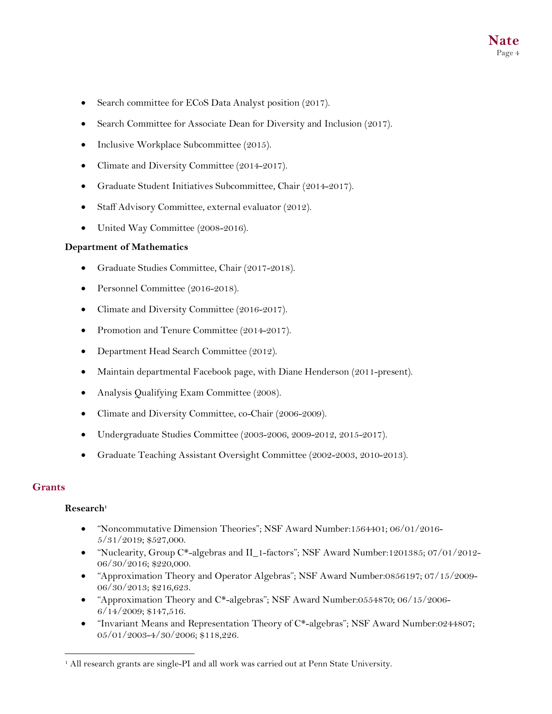- Search committee for ECoS Data Analyst position (2017).
- Search Committee for Associate Dean for Diversity and Inclusion (2017).
- Inclusive Workplace Subcommittee (2015).
- Climate and Diversity Committee (2014-2017).
- Graduate Student Initiatives Subcommittee, Chair (2014-2017).
- Staff Advisory Committee, external evaluator (2012).
- United Way Committee (2008-2016).

#### **Department of Mathematics**

- Graduate Studies Committee, Chair (2017-2018).
- Personnel Committee (2016-2018).
- Climate and Diversity Committee (2016-2017).
- Promotion and Tenure Committee (2014-2017).
- Department Head Search Committee (2012).
- Maintain departmental Facebook page, with Diane Henderson (2011-present).
- Analysis Qualifying Exam Committee (2008).
- Climate and Diversity Committee, co-Chair (2006-2009).
- Undergraduate Studies Committee (2003-2006, 2009-2012, 2015-2017).
- Graduate Teaching Assistant Oversight Committee (2002-2003, 2010-2013).

#### **Grants**

#### **Research1**

- "Noncommutative Dimension Theories"; NSF Award Number:1564401; 06/01/2016- 5/31/2019; \$527,000.
- "Nuclearity, Group C\*-algebras and II\_1-factors"; NSF Award Number:1201385; 07/01/2012- 06/30/2016; \$220,000.
- "Approximation Theory and Operator Algebras"; NSF Award Number:0856197; 07/15/2009- 06/30/2013; \$216,623.
- "Approximation Theory and C\*-algebras"; NSF Award Number:0554870; 06/15/2006- 6/14/2009; \$147,516.
- "Invariant Means and Representation Theory of C\*-algebras"; NSF Award Number:0244807; 05/01/2003-4/30/2006; \$118,226.

<sup>&</sup>lt;sup>1</sup> All research grants are single-PI and all work was carried out at Penn State University.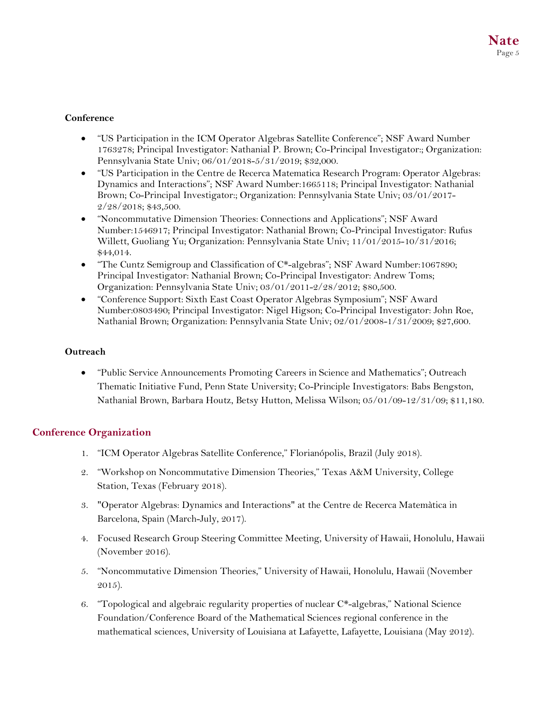# **Conference**

- "US Participation in the ICM Operator Algebras Satellite Conference"; NSF Award Number 1763278; Principal Investigator: Nathanial P. Brown; Co-Principal Investigator:; Organization: Pennsylvania State Univ; 06/01/2018-5/31/2019; \$32,000.
- "US Participation in the Centre de Recerca Matematica Research Program: Operator Algebras: Dynamics and Interactions"; NSF Award Number:1665118; Principal Investigator: Nathanial Brown; Co-Principal Investigator:; Organization: Pennsylvania State Univ; 03/01/2017- 2/28/2018; \$43,500.
- "Noncommutative Dimension Theories: Connections and Applications"; NSF Award Number:1546917; Principal Investigator: Nathanial Brown; Co-Principal Investigator: Rufus Willett, Guoliang Yu; Organization: Pennsylvania State Univ; 11/01/2015-10/31/2016; \$44,014.
- "The Cuntz Semigroup and Classification of C\*-algebras"; NSF Award Number:1067890; Principal Investigator: Nathanial Brown; Co-Principal Investigator: Andrew Toms; Organization: Pennsylvania State Univ; 03/01/2011-2/28/2012; \$80,500.
- "Conference Support: Sixth East Coast Operator Algebras Symposium"; NSF Award Number:0803490; Principal Investigator: Nigel Higson; Co-Principal Investigator: John Roe, Nathanial Brown; Organization: Pennsylvania State Univ; 02/01/2008-1/31/2009; \$27,600.

# **Outreach**

• "Public Service Announcements Promoting Careers in Science and Mathematics"; Outreach Thematic Initiative Fund, Penn State University; Co-Principle Investigators: Babs Bengston, Nathanial Brown, Barbara Houtz, Betsy Hutton, Melissa Wilson; 05/01/09-12/31/09; \$11,180.

# **Conference Organization**

- 1. "ICM Operator Algebras Satellite Conference," Florianópolis, Brazil (July 2018).
- 2. "Workshop on Noncommutative Dimension Theories," Texas A&M University, College Station, Texas (February 2018).
- 3. "Operator Algebras: Dynamics and Interactions" at the Centre de Recerca Matemàtica in Barcelona, Spain (March-July, 2017).
- 4. Focused Research Group Steering Committee Meeting, University of Hawaii, Honolulu, Hawaii (November 2016).
- 5. "Noncommutative Dimension Theories," University of Hawaii, Honolulu, Hawaii (November 2015).
- 6. "Topological and algebraic regularity properties of nuclear C\*-algebras," National Science Foundation/Conference Board of the Mathematical Sciences regional conference in the mathematical sciences, University of Louisiana at Lafayette, Lafayette, Louisiana (May 2012).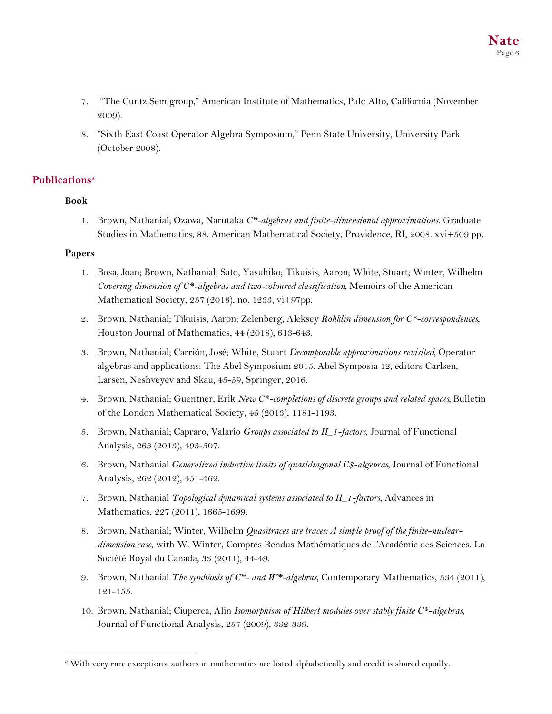- 7. "The Cuntz Semigroup," American Institute of Mathematics, Palo Alto, California (November 2009).
- 8. "Sixth East Coast Operator Algebra Symposium," Penn State University, University Park (October 2008).

# **Publications2**

# **Book**

1. Brown, Nathanial; Ozawa, Narutaka *C\*-algebras and finite-dimensional approximations*. Graduate Studies in Mathematics, 88. American Mathematical Society, Providence, RI, 2008. xvi+509 pp.

# **Papers**

- 1. Bosa, Joan; Brown, Nathanial; Sato, Yasuhiko; Tikuisis, Aaron; White, Stuart; Winter, Wilhelm *Covering dimension of C\*-algebras and two-coloured classification,* Memoirs of the American Mathematical Society, 257 (2018), no. 1233, vi+97pp.
- 2. Brown, Nathanial; Tikuisis, Aaron; Zelenberg, Aleksey *Rohklin dimension for C\*-correspondences*, Houston Journal of Mathematics, 44 (2018), 613-643.
- 3. Brown, Nathanial; Carrión, José; White, Stuart *Decomposable approximations revisited,* Operator algebras and applications: The Abel Symposium 2015. Abel Symposia 12, editors Carlsen, Larsen, Neshveyev and Skau, 45-59, Springer, 2016.
- 4. Brown, Nathanial; Guentner, Erik *New C\*-completions of discrete groups and related spaces,* Bulletin of the London Mathematical Society, 45 (2013), 1181-1193.
- 5. Brown, Nathanial; Capraro, Valario *Groups associated to II\_1-factors*, Journal of Functional Analysis, 263 (2013), 493-507.
- 6. Brown, Nathanial *Generalized inductive limits of quasidiagonal C\$-algebras*, Journal of Functional Analysis, 262 (2012), 451-462.
- 7. Brown, Nathanial *Topological dynamical systems associated to II\_1-factors*, Advances in Mathematics, 227 (2011), 1665-1699.
- 8. Brown, Nathanial; Winter, Wilhelm *Quasitraces are traces: A simple proof of the finite-nucleardimension case*, with W. Winter, Comptes Rendus Mathématiques de l'Académie des Sciences. La Société Royal du Canada, 33 (2011), 44-49.
- 9. Brown, Nathanial *The symbiosis of C\*- and W\*-algebras*, Contemporary Mathematics, 534 (2011), 121-155.
- 10. Brown, Nathanial; Ciuperca, Alin *Isomorphism of Hilbert modules over stably finite C\*-algebras*, Journal of Functional Analysis, 257 (2009), 332-339.

 <sup>2</sup> With very rare exceptions, authors in mathematics are listed alphabetically and credit is shared equally.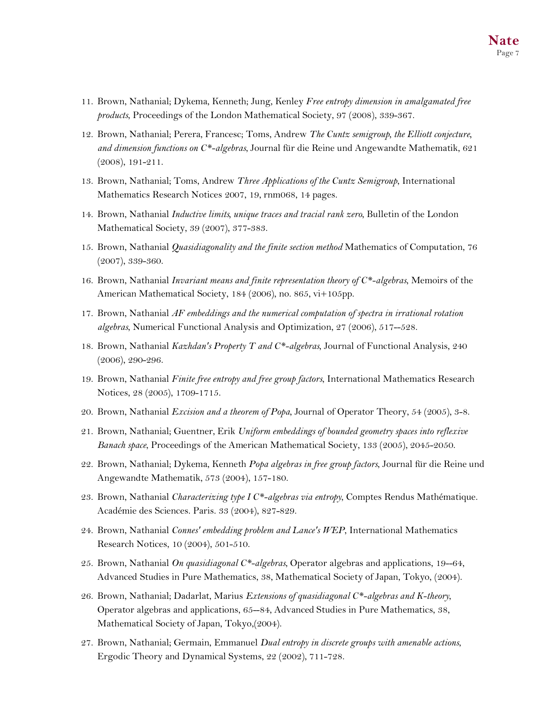- 11. Brown, Nathanial; Dykema, Kenneth; Jung, Kenley *Free entropy dimension in amalgamated free products*, Proceedings of the London Mathematical Society, 97 (2008), 339-367.
- 12. Brown, Nathanial; Perera, Francesc; Toms, Andrew *The Cuntz semigroup, the Elliott conjecture, and dimension functions on C\*-algebras*, Journal für die Reine und Angewandte Mathematik, 621 (2008), 191-211.
- 13. Brown, Nathanial; Toms, Andrew *Three Applications of the Cuntz Semigroup*, International Mathematics Research Notices 2007, 19, rnm068, 14 pages.
- 14. Brown, Nathanial *Inductive limits, unique traces and tracial rank zero*, Bulletin of the London Mathematical Society, 39 (2007), 377-383.
- 15. Brown, Nathanial *Quasidiagonality and the finite section method* Mathematics of Computation, 76 (2007), 339-360.
- 16. Brown, Nathanial *Invariant means and finite representation theory of C\*-algebras*, Memoirs of the American Mathematical Society, 184 (2006), no. 865, vi+105pp.
- 17. Brown, Nathanial *AF embeddings and the numerical computation of spectra in irrational rotation algebras*, Numerical Functional Analysis and Optimization, 27 (2006), 517--528.
- 18. Brown, Nathanial *Kazhdan's Property T and C\*-algebras*, Journal of Functional Analysis, 240 (2006), 290-296.
- 19. Brown, Nathanial *Finite free entropy and free group factors*, International Mathematics Research Notices, 28 (2005), 1709-1715.
- 20. Brown, Nathanial *Excision and a theorem of Popa*, Journal of Operator Theory, 54 (2005), 3-8.
- 21. Brown, Nathanial; Guentner, Erik *Uniform embeddings of bounded geometry spaces into reflexive Banach space*, Proceedings of the American Mathematical Society, 133 (2005), 2045-2050.
- 22. Brown, Nathanial; Dykema, Kenneth *Popa algebras in free group factors*, Journal für die Reine und Angewandte Mathematik, 573 (2004), 157-180.
- 23. Brown, Nathanial *Characterizing type I C\*-algebras via entropy*, Comptes Rendus Mathématique. Académie des Sciences. Paris. 33 (2004), 827-829.
- 24. Brown, Nathanial *Connes' embedding problem and Lance's WEP*, International Mathematics Research Notices, 10 (2004), 501-510.
- 25. Brown, Nathanial *On quasidiagonal C\*-algebras*, Operator algebras and applications, 19--64, Advanced Studies in Pure Mathematics, 38, Mathematical Society of Japan, Tokyo, (2004).
- 26. Brown, Nathanial; Dadarlat, Marius *Extensions of quasidiagonal C\*-algebras and K-theory*, Operator algebras and applications, 65--84, Advanced Studies in Pure Mathematics, 38, Mathematical Society of Japan, Tokyo,(2004).
- 27. Brown, Nathanial; Germain, Emmanuel *Dual entropy in discrete groups with amenable actions*, Ergodic Theory and Dynamical Systems, 22 (2002), 711-728.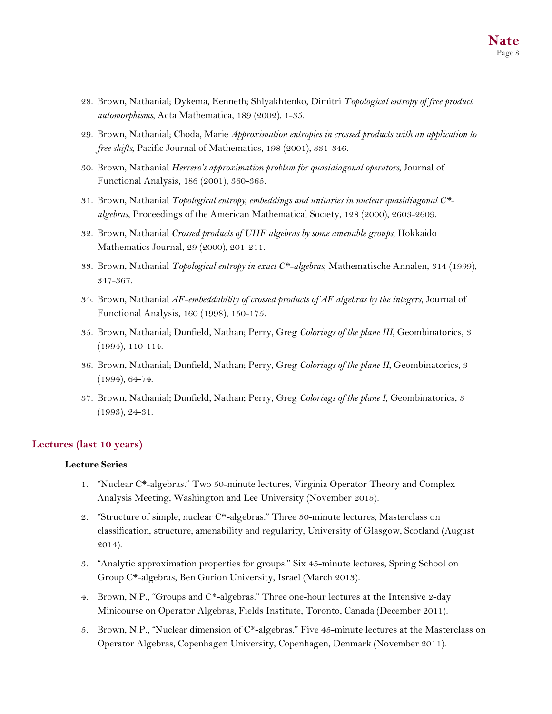- 28. Brown, Nathanial; Dykema, Kenneth; Shlyakhtenko, Dimitri *Topological entropy of free product automorphisms*, Acta Mathematica, 189 (2002), 1-35.
- 29. Brown, Nathanial; Choda, Marie *Approximation entropies in crossed products with an application to free shifts*, Pacific Journal of Mathematics, 198 (2001), 331-346.
- 30. Brown, Nathanial *Herrero's approximation problem for quasidiagonal operators*, Journal of Functional Analysis, 186 (2001), 360-365.
- 31. Brown, Nathanial *Topological entropy, embeddings and unitaries in nuclear quasidiagonal C\* algebras*, Proceedings of the American Mathematical Society, 128 (2000), 2603-2609.
- 32. Brown, Nathanial *Crossed products of UHF algebras by some amenable groups*, Hokkaido Mathematics Journal, 29 (2000), 201-211.
- 33. Brown, Nathanial *Topological entropy in exact C\*-algebras*, Mathematische Annalen, 314 (1999), 347-367.
- 34. Brown, Nathanial *AF-embeddability of crossed products of AF algebras by the integers*, Journal of Functional Analysis, 160 (1998), 150-175.
- 35. Brown, Nathanial; Dunfield, Nathan; Perry, Greg *Colorings of the plane III*, Geombinatorics, 3 (1994), 110-114.
- 36. Brown, Nathanial; Dunfield, Nathan; Perry, Greg *Colorings of the plane II*, Geombinatorics, 3 (1994), 64-74.
- 37. Brown, Nathanial; Dunfield, Nathan; Perry, Greg *Colorings of the plane I*, Geombinatorics, 3 (1993), 24-31.

### **Lectures (last 10 years)**

#### **Lecture Series**

- 1. "Nuclear C\*-algebras." Two 50-minute lectures, Virginia Operator Theory and Complex Analysis Meeting, Washington and Lee University (November 2015).
- 2. "Structure of simple, nuclear C\*-algebras." Three 50-minute lectures, Masterclass on classification, structure, amenability and regularity, University of Glasgow, Scotland (August 2014).
- 3. "Analytic approximation properties for groups." Six 45-minute lectures, Spring School on Group C\*-algebras, Ben Gurion University, Israel (March 2013).
- 4. Brown, N.P., "Groups and C\*-algebras." Three one-hour lectures at the Intensive 2-day Minicourse on Operator Algebras, Fields Institute, Toronto, Canada (December 2011).
- 5. Brown, N.P., "Nuclear dimension of C\*-algebras." Five 45-minute lectures at the Masterclass on Operator Algebras, Copenhagen University, Copenhagen, Denmark (November 2011).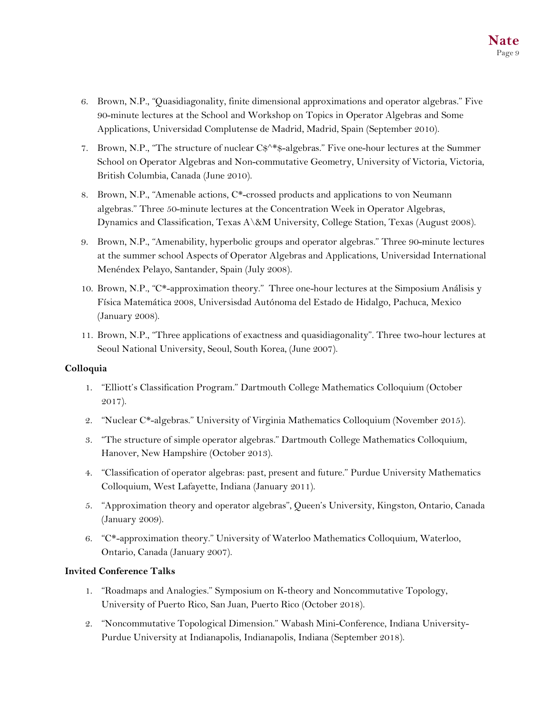- 6. Brown, N.P., "Quasidiagonality, finite dimensional approximations and operator algebras." Five 90-minute lectures at the School and Workshop on Topics in Operator Algebras and Some Applications, Universidad Complutense de Madrid, Madrid, Spain (September 2010).
- 7. Brown, N.P., "The structure of nuclear C\$^\*\$-algebras." Five one-hour lectures at the Summer School on Operator Algebras and Non-commutative Geometry, University of Victoria, Victoria, British Columbia, Canada (June 2010).
- 8. Brown, N.P., "Amenable actions, C\*-crossed products and applications to von Neumann algebras." Three 50-minute lectures at the Concentration Week in Operator Algebras, Dynamics and Classification, Texas A\&M University, College Station, Texas (August 2008).
- 9. Brown, N.P., "Amenability, hyperbolic groups and operator algebras." Three 90-minute lectures at the summer school Aspects of Operator Algebras and Applications, Universidad International Menéndex Pelayo, Santander, Spain (July 2008).
- 10. Brown, N.P., "C\*-approximation theory." Three one-hour lectures at the Simposium Análisis y Física Matemática 2008, Universisdad Autónoma del Estado de Hidalgo, Pachuca, Mexico (January 2008).
- 11. Brown, N.P., "Three applications of exactness and quasidiagonality". Three two-hour lectures at Seoul National University, Seoul, South Korea, (June 2007).

# **Colloquia**

- 1. "Elliott's Classification Program." Dartmouth College Mathematics Colloquium (October 2017).
- 2. "Nuclear C\*-algebras." University of Virginia Mathematics Colloquium (November 2015).
- 3. "The structure of simple operator algebras." Dartmouth College Mathematics Colloquium, Hanover, New Hampshire (October 2013).
- 4. "Classification of operator algebras: past, present and future." Purdue University Mathematics Colloquium, West Lafayette, Indiana (January 2011).
- 5. "Approximation theory and operator algebras", Queen's University, Kingston, Ontario, Canada (January 2009).
- 6. "C\*-approximation theory." University of Waterloo Mathematics Colloquium, Waterloo, Ontario, Canada (January 2007).

# **Invited Conference Talks**

- 1. "Roadmaps and Analogies." Symposium on K-theory and Noncommutative Topology, University of Puerto Rico, San Juan, Puerto Rico (October 2018).
- 2. "Noncommutative Topological Dimension." Wabash Mini-Conference, Indiana University-Purdue University at Indianapolis, Indianapolis, Indiana (September 2018).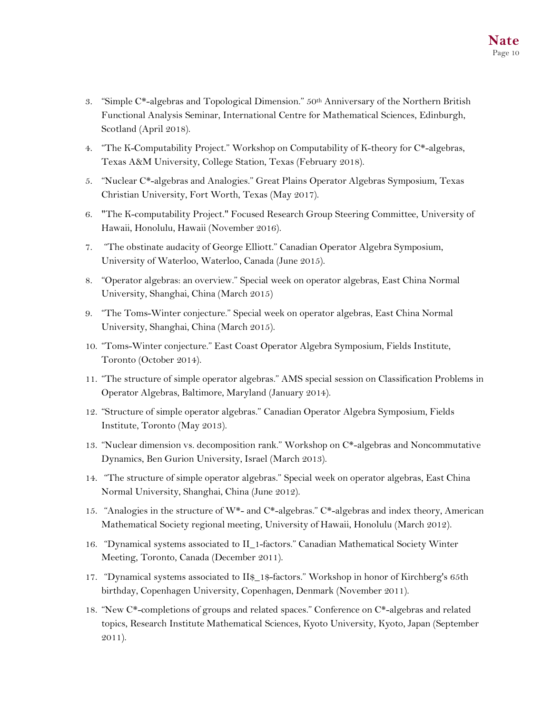- 3. "Simple C\*-algebras and Topological Dimension." 50th Anniversary of the Northern British Functional Analysis Seminar, International Centre for Mathematical Sciences, Edinburgh, Scotland (April 2018).
- 4. "The K-Computability Project." Workshop on Computability of K-theory for C\*-algebras, Texas A&M University, College Station, Texas (February 2018).
- 5. "Nuclear C\*-algebras and Analogies." Great Plains Operator Algebras Symposium, Texas Christian University, Fort Worth, Texas (May 2017).
- 6. "The K-computability Project." Focused Research Group Steering Committee, University of Hawaii, Honolulu, Hawaii (November 2016).
- 7. "The obstinate audacity of George Elliott." Canadian Operator Algebra Symposium, University of Waterloo, Waterloo, Canada (June 2015).
- 8. "Operator algebras: an overview." Special week on operator algebras, East China Normal University, Shanghai, China (March 2015)
- 9. "The Toms-Winter conjecture." Special week on operator algebras, East China Normal University, Shanghai, China (March 2015).
- 10. "Toms-Winter conjecture." East Coast Operator Algebra Symposium, Fields Institute, Toronto (October 2014).
- 11. "The structure of simple operator algebras." AMS special session on Classification Problems in Operator Algebras, Baltimore, Maryland (January 2014).
- 12. "Structure of simple operator algebras." Canadian Operator Algebra Symposium, Fields Institute, Toronto (May 2013).
- 13. "Nuclear dimension vs. decomposition rank." Workshop on C\*-algebras and Noncommutative Dynamics, Ben Gurion University, Israel (March 2013).
- 14. "The structure of simple operator algebras." Special week on operator algebras, East China Normal University, Shanghai, China (June 2012).
- 15. "Analogies in the structure of  $W^*$  and  $C^*$ -algebras."  $C^*$ -algebras and index theory, American Mathematical Society regional meeting, University of Hawaii, Honolulu (March 2012).
- 16. "Dynamical systems associated to II\_1-factors." Canadian Mathematical Society Winter Meeting, Toronto, Canada (December 2011).
- 17. "Dynamical systems associated to II\$\_1\$-factors." Workshop in honor of Kirchberg's 65th birthday, Copenhagen University, Copenhagen, Denmark (November 2011).
- 18. "New C\*-completions of groups and related spaces." Conference on C\*-algebras and related topics, Research Institute Mathematical Sciences, Kyoto University, Kyoto, Japan (September 2011).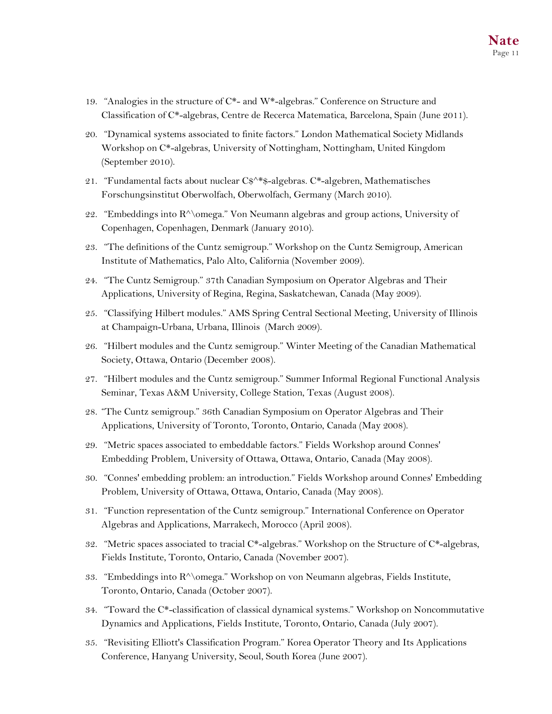- 19. "Analogies in the structure of  $C^*$  and W<sup>\*</sup>-algebras." Conference on Structure and Classification of C\*-algebras, Centre de Recerca Matematica, Barcelona, Spain (June 2011).
- 20. "Dynamical systems associated to finite factors." London Mathematical Society Midlands Workshop on C\*-algebras, University of Nottingham, Nottingham, United Kingdom (September 2010).
- 21. "Fundamental facts about nuclear C\$^\*\$-algebras. C\*-algebren, Mathematisches Forschungsinstitut Oberwolfach, Oberwolfach, Germany (March 2010).
- 22. "Embeddings into R^\omega." Von Neumann algebras and group actions, University of Copenhagen, Copenhagen, Denmark (January 2010).
- 23. "The definitions of the Cuntz semigroup." Workshop on the Cuntz Semigroup, American Institute of Mathematics, Palo Alto, California (November 2009).
- 24. "The Cuntz Semigroup." 37th Canadian Symposium on Operator Algebras and Their Applications, University of Regina, Regina, Saskatchewan, Canada (May 2009).
- 25. "Classifying Hilbert modules." AMS Spring Central Sectional Meeting, University of Illinois at Champaign-Urbana, Urbana, Illinois (March 2009).
- 26. "Hilbert modules and the Cuntz semigroup." Winter Meeting of the Canadian Mathematical Society, Ottawa, Ontario (December 2008).
- 27. "Hilbert modules and the Cuntz semigroup." Summer Informal Regional Functional Analysis Seminar, Texas A&M University, College Station, Texas (August 2008).
- 28. "The Cuntz semigroup." 36th Canadian Symposium on Operator Algebras and Their Applications, University of Toronto, Toronto, Ontario, Canada (May 2008).
- 29. "Metric spaces associated to embeddable factors." Fields Workshop around Connes' Embedding Problem, University of Ottawa, Ottawa, Ontario, Canada (May 2008).
- 30. "Connes' embedding problem: an introduction." Fields Workshop around Connes' Embedding Problem, University of Ottawa, Ottawa, Ontario, Canada (May 2008).
- 31. "Function representation of the Cuntz semigroup." International Conference on Operator Algebras and Applications, Marrakech, Morocco (April 2008).
- 32. "Metric spaces associated to tracial C\*-algebras." Workshop on the Structure of C\*-algebras, Fields Institute, Toronto, Ontario, Canada (November 2007).
- 33. "Embeddings into R^\omega." Workshop on von Neumann algebras, Fields Institute, Toronto, Ontario, Canada (October 2007).
- 34. "Toward the C\*-classification of classical dynamical systems." Workshop on Noncommutative Dynamics and Applications, Fields Institute, Toronto, Ontario, Canada (July 2007).
- 35. "Revisiting Elliott's Classification Program." Korea Operator Theory and Its Applications Conference, Hanyang University, Seoul, South Korea (June 2007).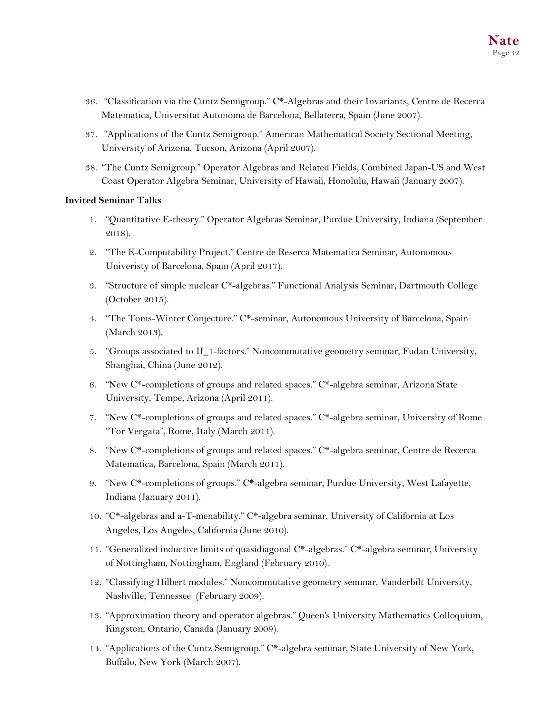- 36. "Classification via the Cuntz Semigroup." C\*-Algebras and their Invariants, Centre de Recerca Matematica, Universitat Autonoma de Barcelona, Bellaterra, Spain (June 2007).
- 37. "Applications of the Cuntz Semigroup." American Mathematical Society Sectional Meeting, University of Arizona, Tucson, Arizona (April 2007).
- 38. "The Cuntz Semigroup." Operator Algebras and Related Fields, Combined Japan-US and West Coast Operator Algebra Seminar, University of Hawaii, Honolulu, Hawaii (January 2007).

### **Invited Seminar Talks**

- 1. "Quantitative E-theory." Operator Algebras Seminar, Purdue University, Indiana (September 2018).
- 2. "The K-Computability Project." Centre de Reserca Matematica Seminar, Autonomous Univeristy of Barcelona, Spain (April 2017).
- 3. "Structure of simple nuclear C\*-algebras." Functional Analysis Seminar, Dartmouth College (October 2015).
- 4. "The Toms-Winter Conjecture." C\*-seminar, Autonomous University of Barcelona, Spain (March 2013).
- 5. "Groups associated to II\_1-factors." Noncommutative geometry seminar, Fudan University, Shanghai, China (June 2012).
- 6. "New C\*-completions of groups and related spaces." C\*-algebra seminar, Arizona State University, Tempe, Arizona (April 2011).
- 7. "New C\*-completions of groups and related spaces." C\*-algebra seminar, University of Rome "Tor Vergata", Rome, Italy (March 2011).
- 8. "New C\*-completions of groups and related spaces." C\*-algebra seminar, Centre de Recerca Matematica, Barcelona, Spain (March 2011).
- 9. "New C\*-completions of groups." C\*-algebra seminar, Purdue University, West Lafayette, Indiana (January 2011).
- 10. "C\*-algebras and a-T-menability." C\*-algebra seminar, University of California at Los Angeles, Los Angeles, California (June 2010).
- 11. "Generalized inductive limits of quasidiagonal C\*-algebras." C\*-algebra seminar, University of Nottingham, Nottingham, England (February 2010).
- 12. "Classifying Hilbert modules." Noncommutative geometry seminar, Vanderbilt University, Nashville, Tennessee (February 2009).
- 13. "Approximation theory and operator algebras." Queen's University Mathematics Colloquium, Kingston, Ontario, Canada (January 2009).
- 14. "Applications of the Cuntz Semigroup." C\*-algebra seminar, State University of New York, Buffalo, New York (March 2007).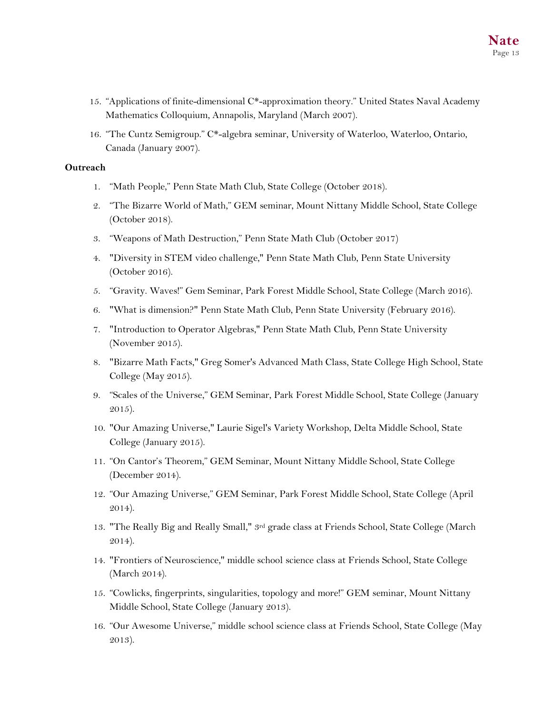- 15. "Applications of finite-dimensional  $C^*$ -approximation theory." United States Naval Academy Mathematics Colloquium, Annapolis, Maryland (March 2007).
- 16. "The Cuntz Semigroup." C\*-algebra seminar, University of Waterloo, Waterloo, Ontario, Canada (January 2007).

#### **Outreach**

- 1. "Math People," Penn State Math Club, State College (October 2018).
- 2. "The Bizarre World of Math," GEM seminar, Mount Nittany Middle School, State College (October 2018).
- 3. "Weapons of Math Destruction," Penn State Math Club (October 2017)
- 4. "Diversity in STEM video challenge," Penn State Math Club, Penn State University (October 2016).
- 5. "Gravity. Waves!" Gem Seminar, Park Forest Middle School, State College (March 2016).
- 6. "What is dimension?" Penn State Math Club, Penn State University (February 2016).
- 7. "Introduction to Operator Algebras," Penn State Math Club, Penn State University (November 2015).
- 8. "Bizarre Math Facts," Greg Somer's Advanced Math Class, State College High School, State College (May 2015).
- 9. "Scales of the Universe," GEM Seminar, Park Forest Middle School, State College (January 2015).
- 10. "Our Amazing Universe," Laurie Sigel's Variety Workshop, Delta Middle School, State College (January 2015).
- 11. "On Cantor's Theorem," GEM Seminar, Mount Nittany Middle School, State College (December 2014).
- 12. "Our Amazing Universe," GEM Seminar, Park Forest Middle School, State College (April 2014).
- 13. "The Really Big and Really Small," 3rd grade class at Friends School, State College (March 2014).
- 14. "Frontiers of Neuroscience," middle school science class at Friends School, State College (March 2014).
- 15. "Cowlicks, fingerprints, singularities, topology and more!" GEM seminar, Mount Nittany Middle School, State College (January 2013).
- 16. "Our Awesome Universe," middle school science class at Friends School, State College (May 2013).